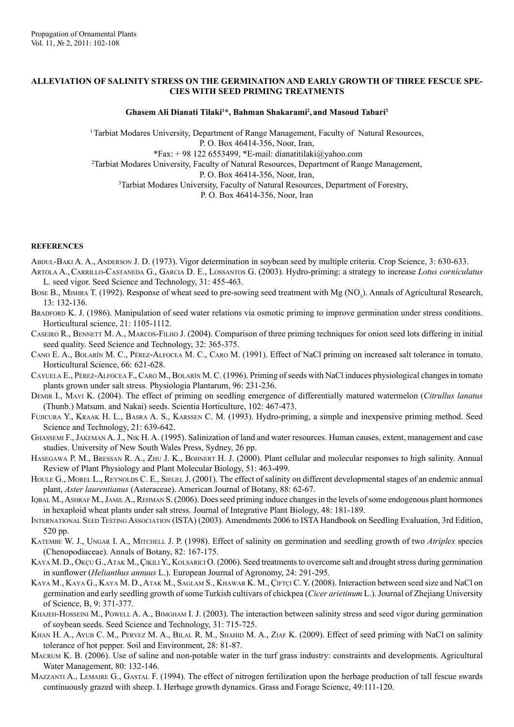## **ALLEVIATION OF SALINITY STRESS ON THE GERMINATION AND EARLY GROWTH OF THREE FESCUE SPE-CIES WITH SEED PRIMING TREATMENTS**

## **Ghasem Ali Dianati Tilaki1 \*, Bahman Shakarami2 , and Masoud Tabari3**

1 Tarbiat Modares University, Department of Range Management, Faculty of Natural Resources, P. O. Box 46414-356, Noor, Iran,  $*Fax: + 98 122 6553499, *E-mail: dianatitilaki@yahoo.com$ 2 Tarbiat Modares University, Faculty of Natural Resources, Department of Range Management, P. O. Box 46414-356, Noor, Iran, <sup>3</sup>Tarbiat Modares University, Faculty of Natural Resources, Department of Forestry, P. O. Box 46414-356, Noor, Iran

## **REFERENCES**

Abdul-Baki A. A., Anderson J. D. (1973). Vigor determination in soybean seed by multiple criteria. Crop Science, 3: 630-633.

- Artola A.,Carrillo-Castaneda G., Garcia D. E., Lossantos G. (2003). Hydro-priming: a strategy to increase *Lotus corniculatus* L. seed vigor. Seed Science and Technology, 31: 455-463.
- Bose B., Mishra T. (1992). Response of wheat seed to pre-sowing seed treatment with Mg (NO<sub>3</sub>). Annals of Agricultural Research, 13: 132-136.
- BRADFORD K. J. (1986). Manipulation of seed water relations via osmotic priming to improve germination under stress conditions. Horticultural science, 21: 1105-1112.
- Caseiro R., Bennett M. A., Marcos-Filho J. (2004). Comparison of three priming techniques for onion seed lots differing in initial seed quality. Seed Science and Technology, 32: 365-375.
- Cano E. A., Bolarín M. C., Pérez-Alfocea M. C., Caro M. (1991). Effect of NaCl priming on increased salt tolerance in tomato. Horticultural Science, 66: 621-628.
- Cayuela E., Pérez-Alfocea F., Caro M., Bolarín M. C. (1996). Priming of seeds with NaCl induces physiological changes in tomato plants grown under salt stress. Physiologia Plantarum, 96: 231-236.
- Demir I., Mavi K. (2004). The effect of priming on seedling emergence of differentially matured watermelon (*Citrullus lanatus* (Thunb.) Matsum. and Nakai) seeds. Scientia Horticulture, 102: 467-473.
- FUJICURA Y., KRAAK H. L., BASRA A. S., KARSSEN C. M. (1993). Hydro-priming, a simple and inexpensive priming method. Seed Science and Technology, 21: 639-642.
- Ghassemi F., Jakeman A. J., Nik H. A. (1995). Salinization of land and water resources. Human causes, extent, management and case studies. University of New South Wales Press, Sydney, 26 pp.
- Hasegawa P. M., Bressan R. A., Zhu J. K., Bohnert H. J. (2000). Plant cellular and molecular responses to high salinity. Annual Review of Plant Physiology and Plant Molecular Biology, 51: 463-499.
- HOULE G., MOREL L., REYNOLDS C. E., SIEGEL J. (2001). The effect of salinity on different developmental stages of an endemic annual plant, *Aster laurentianus* (Asteraceae). American Journal of Botany, 88: 62-67.
- Iqbal M., Ashraf M., Jamil A., Rehman S. (2006). Does seed priming induce changes in the levels of some endogenous plant hormones in hexaploid wheat plants under salt stress. Journal of Integrative Plant Biology, 48: 181-189.
- International Seed Testing Association (ISTA) (2003). Amendments 2006 to ISTA Handbook on Seedling Evaluation, 3rd Edition, 520 pp.
- Katembe W. J., Ungar I. A., Mitchell J. P. (1998). Effect of salinity on germination and seedling growth of two *Atriplex* species (Chenopodiaceae). Annals of Botany, 82: 167-175.
- Kaya М. D., Okçu G., Atak M., ÇikılıY., Kolsarıcı O. (2006). Seed treatments to overcome salt and drought stress during germination in sunflower (*Helianthus annuus* L.). European Journal of Agronomy, 24: 291-295.
- Kaya M., Kaya G., Kaya M. D., Atak M., Saglam S., Khawar K. M., Çiftçi C. Y. (2008). Interaction between seed size and NaCl on germination and early seedling growth of some Turkish cultivars of chickpea (*Cicer arietinum* L.). Journal of Zhejiang University of Science, B, 9: 371-377.
- KHAJEH-HOSSEINI M., POWELL A. A., BIMGHAM I. J. (2003). The interaction between salinity stress and seed vigor during germination of soybean seeds. Seed Science and Technology, 31: 715-725.
- KHAN H. A., AYUB C. M., PERVEZ M. A., BILAL R. M., SHAHID M. A., ZIAF K. (2009). Effect of seed priming with NaCl on salinity tolerance of hot pepper. Soil and Environment, 28: 81-87.
- Macrum K. B. (2006). Use of saline and non-potable water in the turf grass industry: constraints and developments. Agricultural Water Management, 80: 132-146.
- Mazzanti A., Lemaire G., Gastal F. (1994). The effect of nitrogen fertilization upon the herbage production of tall fescue swards continuously grazed with sheep. I. Herbage growth dynamics. Grass and Forage Science, 49:111-120.